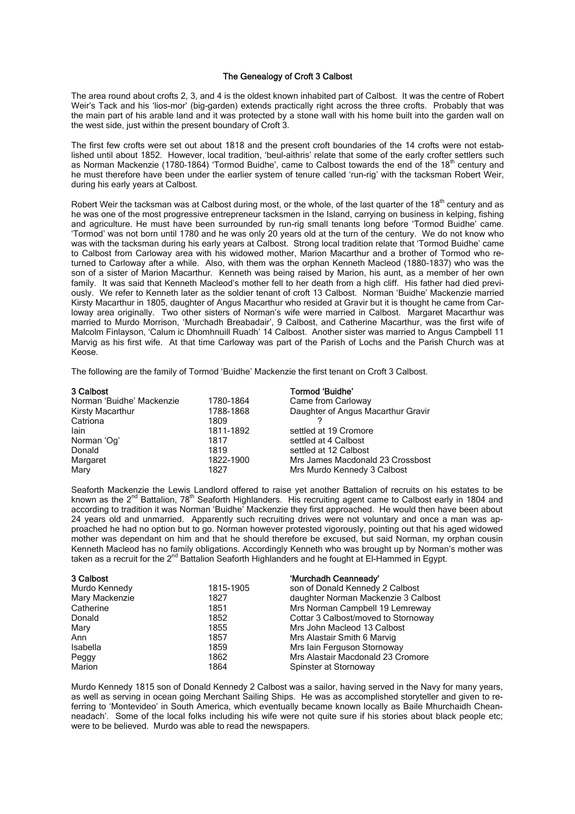## The Genealogy of Croft 3 Calbost

The area round about crofts 2, 3, and 4 is the oldest known inhabited part of Calbost. It was the centre of Robert Weir's Tack and his 'lios-mor' (big-garden) extends practically right across the three crofts. Probably that was the main part of his arable land and it was protected by a stone wall with his home built into the garden wall on the west side, just within the present boundary of Croft 3.

The first few crofts were set out about 1818 and the present croft boundaries of the 14 crofts were not established until about 1852. However, local tradition, 'beul-aithris' relate that some of the early crofter settlers such as Norman Mackenzie (1780-1864) 'Tormod Buidhe', came to Calbost towards the end of the 18<sup>th</sup> century and he must therefore have been under the earlier system of tenure called 'run-rig' with the tacksman Robert Weir, during his early years at Calbost.

Robert Weir the tacksman was at Calbost during most, or the whole, of the last quarter of the  $18<sup>th</sup>$  century and as he was one of the most progressive entrepreneur tacksmen in the Island, carrying on business in kelping, fishing and agriculture. He must have been surrounded by run-rig small tenants long before 'Tormod Buidhe' came. 'Tormod' was not born until 1780 and he was only 20 years old at the turn of the century. We do not know who was with the tacksman during his early years at Calbost. Strong local tradition relate that 'Tormod Buidhe' came to Calbost from Carloway area with his widowed mother, Marion Macarthur and a brother of Tormod who returned to Carloway after a while. Also, with them was the orphan Kenneth Macleod (1880-1837) who was the son of a sister of Marion Macarthur. Kenneth was being raised by Marion, his aunt, as a member of her own family. It was said that Kenneth Macleod's mother fell to her death from a high cliff. His father had died previously. We refer to Kenneth later as the soldier tenant of croft 13 Calbost. Norman 'Buidhe' Mackenzie married Kirsty Macarthur in 1805, daughter of Angus Macarthur who resided at Gravir but it is thought he came from Carloway area originally. Two other sisters of Norman's wife were married in Calbost. Margaret Macarthur was married to Murdo Morrison, 'Murchadh Breabadair', 9 Calbost, and Catherine Macarthur, was the first wife of Malcolm Finlayson, 'Calum ic Dhomhnuill Ruadh' 14 Calbost. Another sister was married to Angus Campbell 11 Marvig as his first wife. At that time Carloway was part of the Parish of Lochs and the Parish Church was at Keose.

The following are the family of Tormod 'Buidhe' Mackenzie the first tenant on Croft 3 Calbost.

| 3 Calbost                 |           | Tormod 'Buidhe'                    |
|---------------------------|-----------|------------------------------------|
| Norman 'Buidhe' Mackenzie | 1780-1864 | Came from Carloway                 |
| Kirsty Macarthur          | 1788-1868 | Daughter of Angus Macarthur Gravir |
| Catriona                  | 1809      |                                    |
| lain                      | 1811-1892 | settled at 19 Cromore              |
| Norman 'Og'               | 1817      | settled at 4 Calbost               |
| Donald                    | 1819      | settled at 12 Calbost              |
| Margaret                  | 1822-1900 | Mrs James Macdonald 23 Crossbost   |
| Mary                      | 1827      | Mrs Murdo Kennedy 3 Calbost        |

Seaforth Mackenzie the Lewis Landlord offered to raise yet another Battalion of recruits on his estates to be known as the 2<sup>nd</sup> Battalion, 78<sup>th</sup> Seaforth Highlanders. His recruiting agent came to Calbost early in 1804 and according to tradition it was Norman 'Buidhe' Mackenzie they first approached. He would then have been about 24 years old and unmarried. Apparently such recruiting drives were not voluntary and once a man was approached he had no option but to go. Norman however protested vigorously, pointing out that his aged widowed mother was dependant on him and that he should therefore be excused, but said Norman, my orphan cousin Kenneth Macleod has no family obligations. Accordingly Kenneth who was brought up by Norman's mother was taken as a recruit for the 2nd Battalion Seaforth Highlanders and he fought at El-Hammed in Egypt.

| 3 Calbost      |           | 'Murchadh Ceanneady'                |
|----------------|-----------|-------------------------------------|
| Murdo Kennedy  | 1815-1905 | son of Donald Kennedy 2 Calbost     |
| Mary Mackenzie | 1827      | daughter Norman Mackenzie 3 Calbost |
| Catherine      | 1851      | Mrs Norman Campbell 19 Lemreway     |
| Donald         | 1852      | Cottar 3 Calbost/moved to Stornoway |
| Mary           | 1855      | Mrs John Macleod 13 Calbost         |
| Ann            | 1857      | Mrs Alastair Smith 6 Marvig         |
| Isabella       | 1859      | Mrs Iain Ferguson Stornoway         |
| Peggy          | 1862      | Mrs Alastair Macdonald 23 Cromore   |
| Marion         | 1864      | Spinster at Stornoway               |

Murdo Kennedy 1815 son of Donald Kennedy 2 Calbost was a sailor, having served in the Navy for many years, as well as serving in ocean going Merchant Sailing Ships. He was as accomplished storyteller and given to referring to 'Montevideo' in South America, which eventually became known locally as Baile Mhurchaidh Cheanneadach'. Some of the local folks including his wife were not quite sure if his stories about black people etc; were to be believed. Murdo was able to read the newspapers.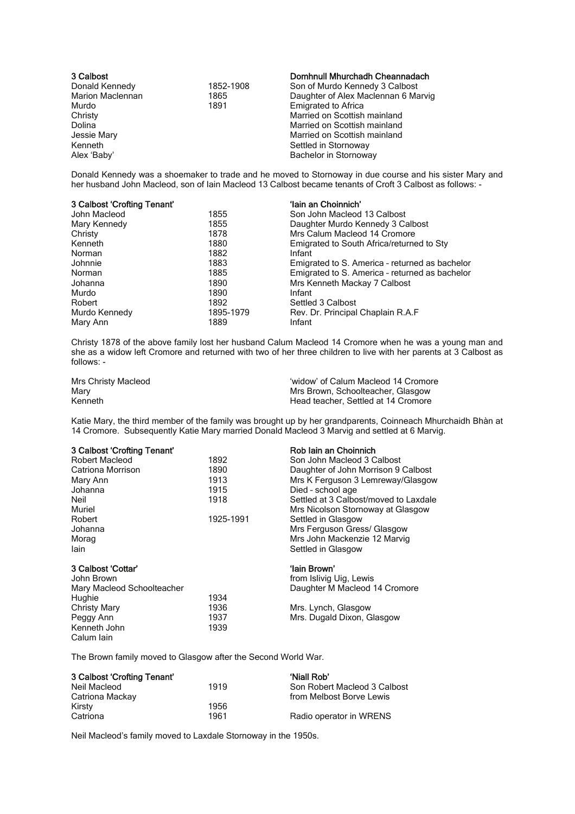| 3 Calbost               |           | Domhnull Mhurchadh Cheannadach      |
|-------------------------|-----------|-------------------------------------|
| Donald Kennedy          | 1852-1908 | Son of Murdo Kennedy 3 Calbost      |
| <b>Marion Maclennan</b> | 1865      | Daughter of Alex Maclennan 6 Marvig |
| Murdo                   | 1891      | <b>Emigrated to Africa</b>          |
| Christy                 |           | Married on Scottish mainland        |
| Dolina                  |           | Married on Scottish mainland        |
| Jessie Mary             |           | Married on Scottish mainland        |
| Kenneth                 |           | Settled in Stornoway                |
| Alex 'Baby'             |           | Bachelor in Stornoway               |

Donald Kennedy was a shoemaker to trade and he moved to Stornoway in due course and his sister Mary and her husband John Macleod, son of Iain Macleod 13 Calbost became tenants of Croft 3 Calbost as follows: -

| 3 Calbost 'Crofting Tenant' |           | 'Iain an Choinnich'                            |
|-----------------------------|-----------|------------------------------------------------|
| John Macleod                | 1855      | Son John Macleod 13 Calbost                    |
| Mary Kennedy                | 1855      | Daughter Murdo Kennedy 3 Calbost               |
| Christy                     | 1878      | Mrs Calum Macleod 14 Cromore                   |
| Kenneth                     | 1880      | Emigrated to South Africa/returned to Sty      |
| Norman                      | 1882      | Infant                                         |
| Johnnie                     | 1883      | Emigrated to S. America - returned as bachelor |
| Norman                      | 1885      | Emigrated to S. America - returned as bachelor |
| Johanna                     | 1890      | Mrs Kenneth Mackay 7 Calbost                   |
| Murdo                       | 1890      | Infant                                         |
| Robert                      | 1892      | Settled 3 Calbost                              |
| Murdo Kennedy               | 1895-1979 | Rev. Dr. Principal Chaplain R.A.F              |
| Mary Ann                    | 1889      | Infant                                         |

Christy 1878 of the above family lost her husband Calum Macleod 14 Cromore when he was a young man and she as a widow left Cromore and returned with two of her three children to live with her parents at 3 Calbost as follows: -

| Mrs Christy Macleod | 'widow' of Calum Macleod 14 Cromore |
|---------------------|-------------------------------------|
| Mary                | Mrs Brown, Schoolteacher, Glasgow   |
| Kenneth             | Head teacher. Settled at 14 Cromore |

Katie Mary, the third member of the family was brought up by her grandparents, Coinneach Mhurchaidh Bhàn at 14 Cromore. Subsequently Katie Mary married Donald Macleod 3 Marvig and settled at 6 Marvig.

| 3 Calbost 'Crofting Tenant' |           | Rob Iain an Choinnich                 |
|-----------------------------|-----------|---------------------------------------|
| <b>Robert Macleod</b>       | 1892      | Son John Macleod 3 Calbost            |
| Catriona Morrison           | 1890      | Daughter of John Morrison 9 Calbost   |
| Mary Ann                    | 1913      | Mrs K Ferguson 3 Lemreway/Glasgow     |
| Johanna                     | 1915      | Died - school age                     |
| Neil                        | 1918      | Settled at 3 Calbost/moved to Laxdale |
| Muriel                      |           | Mrs Nicolson Stornoway at Glasgow     |
| Robert                      | 1925-1991 | Settled in Glasgow                    |
| Johanna                     |           | Mrs Ferguson Gress/ Glasgow           |
| Morag                       |           | Mrs John Mackenzie 12 Marvig          |
| lain                        |           | Settled in Glasgow                    |
| 3 Calbost 'Cottar'          |           | 'Iain Brown'                          |
| John Brown                  |           | from Islivig Uig, Lewis               |
| Mary Macleod Schoolteacher  |           | Daughter M Macleod 14 Cromore         |
| Hughie                      | 1934      |                                       |
| <b>Christy Mary</b>         | 1936      | Mrs. Lynch, Glasgow                   |
| Peggy Ann                   | 1937      | Mrs. Dugald Dixon, Glasgow            |
| Kenneth John                | 1939      |                                       |
| Calum Iain                  |           |                                       |

The Brown family moved to Glasgow after the Second World War.

| 3 Calbost 'Crofting Tenant' |      | 'Niall Rob'                  |
|-----------------------------|------|------------------------------|
| Neil Macleod                | 1919 | Son Robert Macleod 3 Calbost |
| Catriona Mackay             |      | from Melbost Borve Lewis     |
| Kirsty                      | 1956 |                              |
| Catriona                    | 1961 | Radio operator in WRENS      |

Neil Macleod's family moved to Laxdale Stornoway in the 1950s.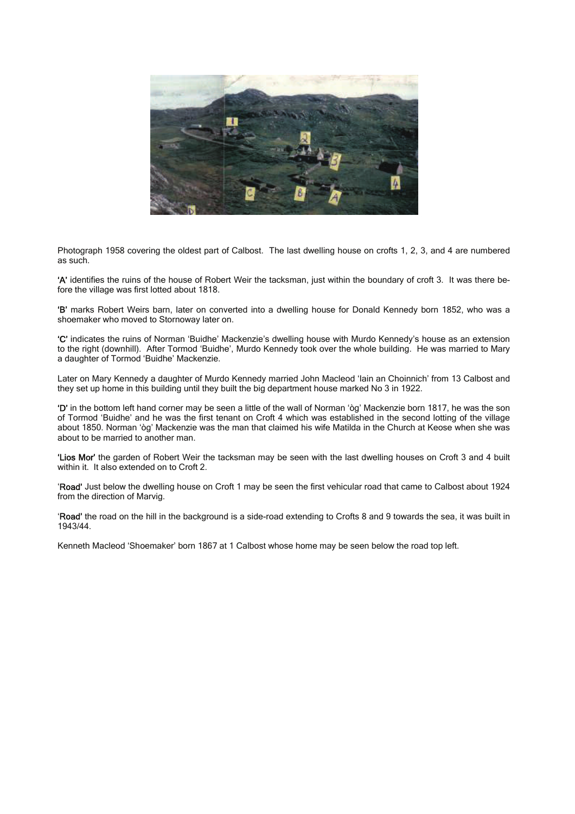

Photograph 1958 covering the oldest part of Calbost. The last dwelling house on crofts 1, 2, 3, and 4 are numbered as such.

'A' identifies the ruins of the house of Robert Weir the tacksman, just within the boundary of croft 3. It was there before the village was first lotted about 1818.

'B' marks Robert Weirs barn, later on converted into a dwelling house for Donald Kennedy born 1852, who was a shoemaker who moved to Stornoway later on.

'C' indicates the ruins of Norman 'Buidhe' Mackenzie's dwelling house with Murdo Kennedy's house as an extension to the right (downhill). After Tormod 'Buidhe', Murdo Kennedy took over the whole building. He was married to Mary a daughter of Tormod 'Buidhe' Mackenzie.

Later on Mary Kennedy a daughter of Murdo Kennedy married John Macleod 'Iain an Choinnich' from 13 Calbost and they set up home in this building until they built the big department house marked No 3 in 1922.

'D' in the bottom left hand corner may be seen a little of the wall of Norman 'òg' Mackenzie born 1817, he was the son of Tormod 'Buidhe' and he was the first tenant on Croft 4 which was established in the second lotting of the village about 1850. Norman 'òg' Mackenzie was the man that claimed his wife Matilda in the Church at Keose when she was about to be married to another man.

'Lios Mor' the garden of Robert Weir the tacksman may be seen with the last dwelling houses on Croft 3 and 4 built within it. It also extended on to Croft 2.

'Road' Just below the dwelling house on Croft 1 may be seen the first vehicular road that came to Calbost about 1924 from the direction of Marvig.

'Road' the road on the hill in the background is a side-road extending to Crofts 8 and 9 towards the sea, it was built in 1943/44.

Kenneth Macleod 'Shoemaker' born 1867 at 1 Calbost whose home may be seen below the road top left.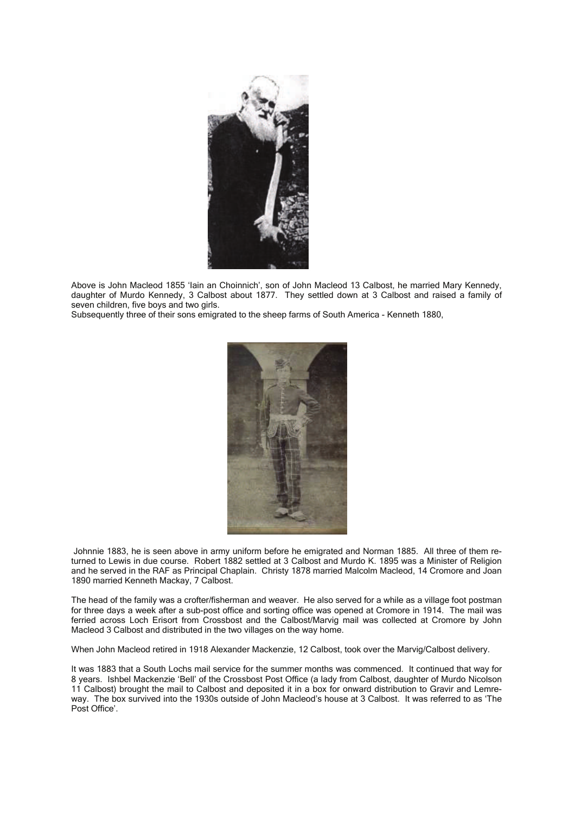

Above is John Macleod 1855 'Iain an Choinnich', son of John Macleod 13 Calbost, he married Mary Kennedy, daughter of Murdo Kennedy, 3 Calbost about 1877. They settled down at 3 Calbost and raised a family of seven children, five boys and two girls.

Subsequently three of their sons emigrated to the sheep farms of South America - Kenneth 1880,



 Johnnie 1883, he is seen above in army uniform before he emigrated and Norman 1885. All three of them returned to Lewis in due course. Robert 1882 settled at 3 Calbost and Murdo K. 1895 was a Minister of Religion and he served in the RAF as Principal Chaplain. Christy 1878 married Malcolm Macleod, 14 Cromore and Joan 1890 married Kenneth Mackay, 7 Calbost.

The head of the family was a crofter/fisherman and weaver. He also served for a while as a village foot postman for three days a week after a sub-post office and sorting office was opened at Cromore in 1914. The mail was ferried across Loch Erisort from Crossbost and the Calbost/Marvig mail was collected at Cromore by John Macleod 3 Calbost and distributed in the two villages on the way home.

When John Macleod retired in 1918 Alexander Mackenzie, 12 Calbost, took over the Marvig/Calbost delivery.

It was 1883 that a South Lochs mail service for the summer months was commenced. It continued that way for 8 years. Ishbel Mackenzie 'Bell' of the Crossbost Post Office (a lady from Calbost, daughter of Murdo Nicolson 11 Calbost) brought the mail to Calbost and deposited it in a box for onward distribution to Gravir and Lemreway. The box survived into the 1930s outside of John Macleod's house at 3 Calbost. It was referred to as 'The Post Office'.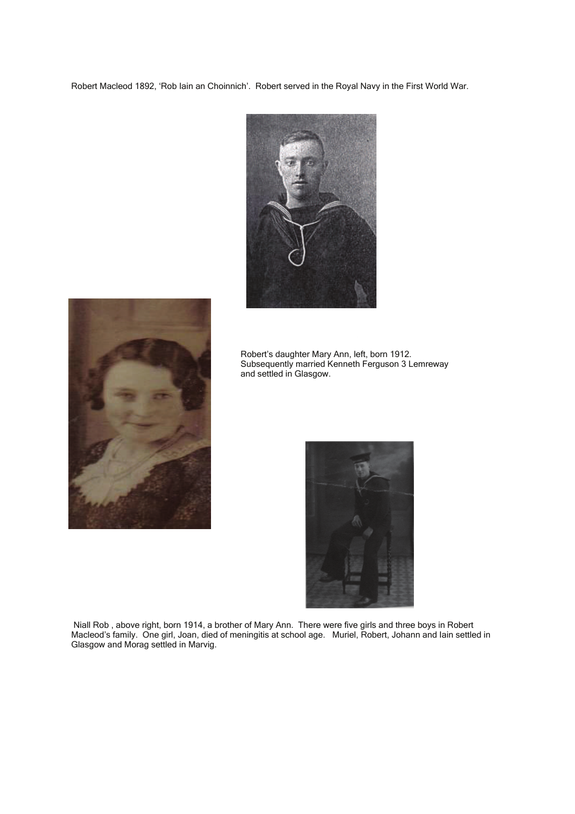Robert Macleod 1892, 'Rob Iain an Choinnich'. Robert served in the Royal Navy in the First World War.





 Robert's daughter Mary Ann, left, born 1912. Subsequently married Kenneth Ferguson 3 Lemreway and settled in Glasgow.



 Niall Rob , above right, born 1914, a brother of Mary Ann. There were five girls and three boys in Robert Macleod's family. One girl, Joan, died of meningitis at school age. Muriel, Robert, Johann and Iain settled in Glasgow and Morag settled in Marvig.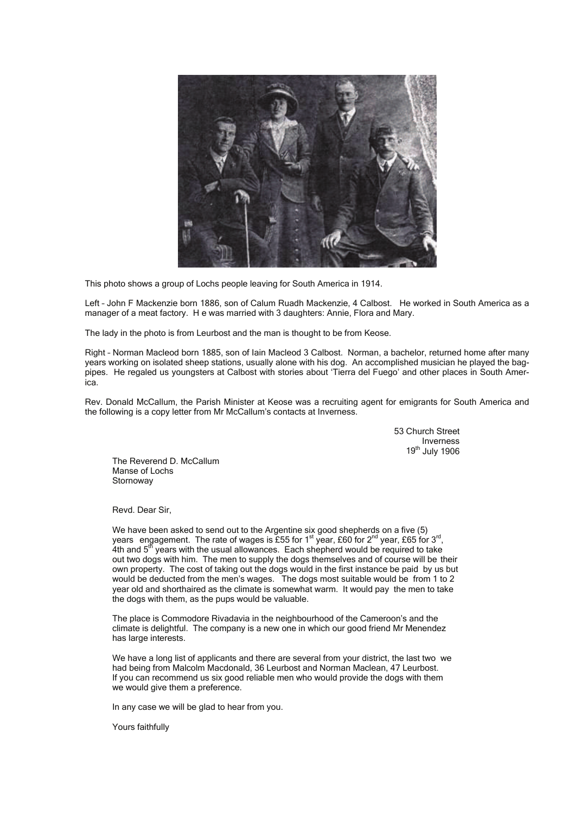

This photo shows a group of Lochs people leaving for South America in 1914.

Left – John F Mackenzie born 1886, son of Calum Ruadh Mackenzie, 4 Calbost. He worked in South America as a manager of a meat factory. H e was married with 3 daughters: Annie. Flora and Mary.

The lady in the photo is from Leurbost and the man is thought to be from Keose.

Right – Norman Macleod born 1885, son of Iain Macleod 3 Calbost. Norman, a bachelor, returned home after many years working on isolated sheep stations, usually alone with his dog. An accomplished musician he played the bagpipes. He regaled us youngsters at Calbost with stories about 'Tierra del Fuego' and other places in South America.

Rev. Donald McCallum, the Parish Minister at Keose was a recruiting agent for emigrants for South America and the following is a copy letter from Mr McCallum's contacts at Inverness.

> 53 Church Street Inverness 19th July 1906

 The Reverend D. McCallum Manse of Lochs **Stornoway** 

Revd. Dear Sir,

We have been asked to send out to the Argentine six good shepherds on a five (5) years engagement. The rate of wages is £55 for 1st year, £60 for  $2^{nd}$  year, £65 for 3<sup>rd</sup>, 4th and 5<sup>th</sup> years with the usual allowances. Each shepherd would be required to take out two dogs with him. The men to supply the dogs themselves and of course will be their own property. The cost of taking out the dogs would in the first instance be paid by us but would be deducted from the men's wages. The dogs most suitable would be from 1 to 2 year old and shorthaired as the climate is somewhat warm. It would pay the men to take the dogs with them, as the pups would be valuable.

 The place is Commodore Rivadavia in the neighbourhood of the Cameroon's and the climate is delightful. The company is a new one in which our good friend Mr Menendez has large interests.

 We have a long list of applicants and there are several from your district, the last two we had being from Malcolm Macdonald, 36 Leurbost and Norman Maclean, 47 Leurbost. If you can recommend us six good reliable men who would provide the dogs with them we would give them a preference.

In any case we will be glad to hear from you.

Yours faithfully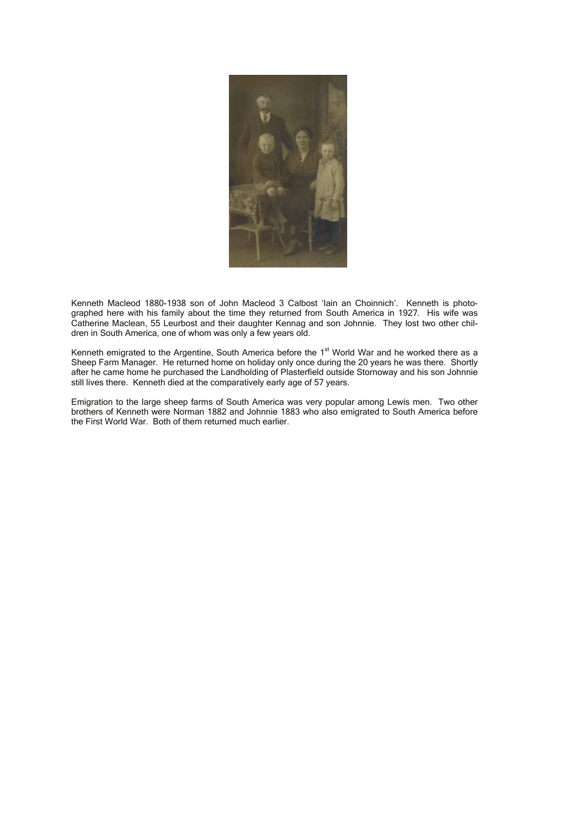

Kenneth Macleod 1880-1938 son of John Macleod 3 Calbost 'Iain an Choinnich'. Kenneth is photographed here with his family about the time they returned from South America in 1927. His wife was Catherine Maclean, 55 Leurbost and their daughter Kennag and son Johnnie. They lost two other children in South America, one of whom was only a few years old.

Kenneth emigrated to the Argentine, South America before the 1<sup>st</sup> World War and he worked there as a Sheep Farm Manager. He returned home on holiday only once during the 20 years he was there. Shortly after he came home he purchased the Landholding of Plasterfield outside Stornoway and his son Johnnie still lives there. Kenneth died at the comparatively early age of 57 years.

Emigration to the large sheep farms of South America was very popular among Lewis men. Two other brothers of Kenneth were Norman 1882 and Johnnie 1883 who also emigrated to South America before the First World War. Both of them returned much earlier.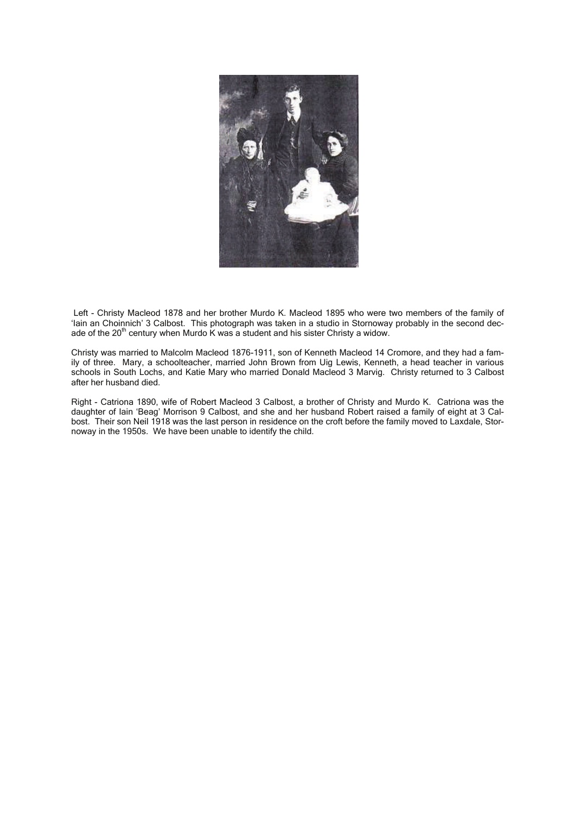

 Left - Christy Macleod 1878 and her brother Murdo K. Macleod 1895 who were two members of the family of 'Iain an Choinnich' 3 Calbost. This photograph was taken in a studio in Stornoway probably in the second decade of the  $20<sup>th</sup>$  century when Murdo K was a student and his sister Christy a widow.

Christy was married to Malcolm Macleod 1876-1911, son of Kenneth Macleod 14 Cromore, and they had a family of three. Mary, a schoolteacher, married John Brown from Uig Lewis, Kenneth, a head teacher in various schools in South Lochs, and Katie Mary who married Donald Macleod 3 Marvig. Christy returned to 3 Calbost after her husband died.

Right - Catriona 1890, wife of Robert Macleod 3 Calbost, a brother of Christy and Murdo K. Catriona was the daughter of Iain 'Beag' Morrison 9 Calbost, and she and her husband Robert raised a family of eight at 3 Calbost. Their son Neil 1918 was the last person in residence on the croft before the family moved to Laxdale, Stornoway in the 1950s. We have been unable to identify the child.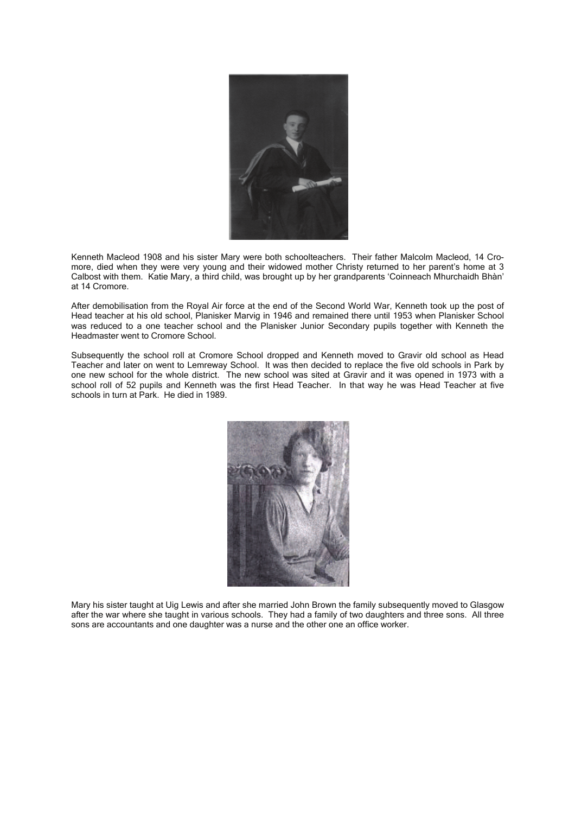

Kenneth Macleod 1908 and his sister Mary were both schoolteachers. Their father Malcolm Macleod, 14 Cromore, died when they were very young and their widowed mother Christy returned to her parent's home at 3 Calbost with them. Katie Mary, a third child, was brought up by her grandparents 'Coinneach Mhurchaidh Bhàn' at 14 Cromore.

After demobilisation from the Royal Air force at the end of the Second World War, Kenneth took up the post of Head teacher at his old school, Planisker Marvig in 1946 and remained there until 1953 when Planisker School was reduced to a one teacher school and the Planisker Junior Secondary pupils together with Kenneth the Headmaster went to Cromore School.

Subsequently the school roll at Cromore School dropped and Kenneth moved to Gravir old school as Head Teacher and later on went to Lemreway School. It was then decided to replace the five old schools in Park by one new school for the whole district. The new school was sited at Gravir and it was opened in 1973 with a school roll of 52 pupils and Kenneth was the first Head Teacher. In that way he was Head Teacher at five schools in turn at Park. He died in 1989.



Mary his sister taught at Uig Lewis and after she married John Brown the family subsequently moved to Glasgow after the war where she taught in various schools. They had a family of two daughters and three sons. All three sons are accountants and one daughter was a nurse and the other one an office worker.